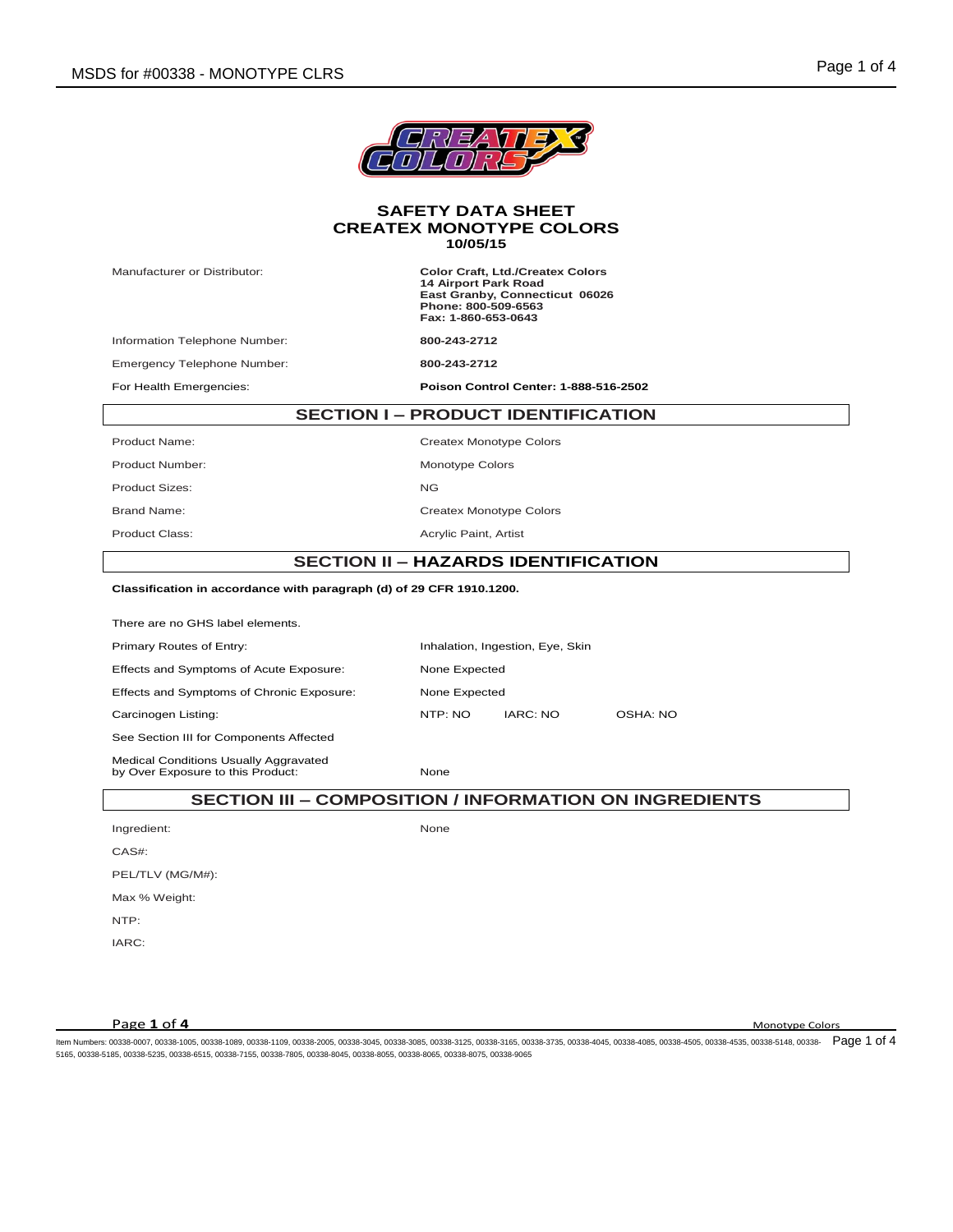

Manufacturer or Distributor: **Color Craft, Ltd./Createx Colors 14 Airport Park Road East Granby, Connecticut 06026 Phone: 800-509-6563 Fax: 1-860-653-0643**

Information Telephone Number: **800-243-2712**

Emergency Telephone Number: **800-243-2712**

For Health Emergencies: **Poison Control Center: 1-888-516-2502**

# **SECTION I – PRODUCT IDENTIFICATION**

Product Name: Createx Monotype Colors Product Number: Monotype Colors Product Sizes: NG Brand Name: Createx Monotype Colors Product Class: Acrylic Paint, Artist

#### **SECTION II – HAZARDS IDENTIFICATION**

# **Classification in accordance with paragraph (d) of 29 CFR 1910.1200.**

There are no GHS label elements. Primary Routes of Entry: **Inhalation, Ingestion, Eye, Skin** Effects and Symptoms of Acute Exposure: None Expected Effects and Symptoms of Chronic Exposure: None Expected Carcinogen Listing: NTP: NO IARC: NO OSHA: NO See Section III for Components Affected Medical Conditions Usually Aggravated

by Over Exposure to this Product: None

## **SECTION III – COMPOSITION / INFORMATION ON INGREDIENTS**

Ingredient: None

PEL/TLV (MG/M#):

Max % Weight: NTP:

IARC:

CAS#:

**Page 1 of 4** Monotype Colors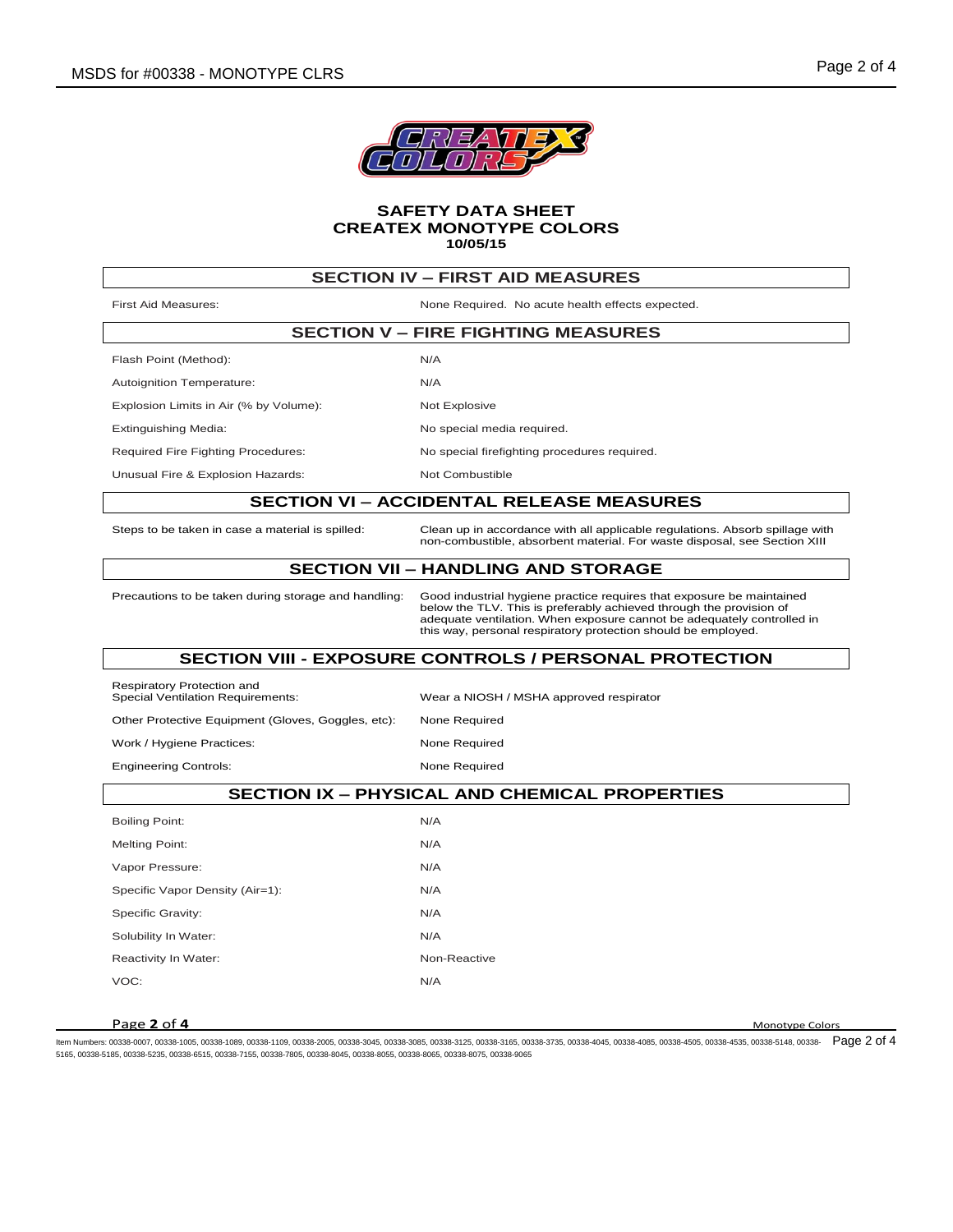

| <b>SECTION IV - FIRST AID MEASURES</b>                                 |                                                                                                                                                                                                                                                                                         |  |  |  |
|------------------------------------------------------------------------|-----------------------------------------------------------------------------------------------------------------------------------------------------------------------------------------------------------------------------------------------------------------------------------------|--|--|--|
| <b>First Aid Measures:</b>                                             | None Required. No acute health effects expected.                                                                                                                                                                                                                                        |  |  |  |
| <b>SECTION V - FIRE FIGHTING MEASURES</b>                              |                                                                                                                                                                                                                                                                                         |  |  |  |
| Flash Point (Method):                                                  | N/A                                                                                                                                                                                                                                                                                     |  |  |  |
| Autoignition Temperature:                                              | N/A                                                                                                                                                                                                                                                                                     |  |  |  |
| Explosion Limits in Air (% by Volume):                                 | Not Explosive                                                                                                                                                                                                                                                                           |  |  |  |
| <b>Extinguishing Media:</b>                                            | No special media required.                                                                                                                                                                                                                                                              |  |  |  |
| Required Fire Fighting Procedures:                                     | No special firefighting procedures required.                                                                                                                                                                                                                                            |  |  |  |
| Unusual Fire & Explosion Hazards:                                      | Not Combustible                                                                                                                                                                                                                                                                         |  |  |  |
| <b>SECTION VI - ACCIDENTAL RELEASE MEASURES</b>                        |                                                                                                                                                                                                                                                                                         |  |  |  |
| Steps to be taken in case a material is spilled:                       | Clean up in accordance with all applicable regulations. Absorb spillage with<br>non-combustible, absorbent material. For waste disposal, see Section XIII                                                                                                                               |  |  |  |
| <b>SECTION VII - HANDLING AND STORAGE</b>                              |                                                                                                                                                                                                                                                                                         |  |  |  |
| Precautions to be taken during storage and handling:                   | Good industrial hygiene practice requires that exposure be maintained<br>below the TLV. This is preferably achieved through the provision of<br>adequate ventilation. When exposure cannot be adequately controlled in<br>this way, personal respiratory protection should be employed. |  |  |  |
| <b>SECTION VIII - EXPOSURE CONTROLS / PERSONAL PROTECTION</b>          |                                                                                                                                                                                                                                                                                         |  |  |  |
| Respiratory Protection and<br><b>Special Ventilation Requirements:</b> | Wear a NIOSH / MSHA approved respirator                                                                                                                                                                                                                                                 |  |  |  |
| Other Protective Equipment (Gloves, Goggles, etc):                     | None Required                                                                                                                                                                                                                                                                           |  |  |  |
| Work / Hygiene Practices:                                              | None Required                                                                                                                                                                                                                                                                           |  |  |  |
| <b>Engineering Controls:</b>                                           | None Required                                                                                                                                                                                                                                                                           |  |  |  |
| <b>SECTION IX - PHYSICAL AND CHEMICAL PROPERTIES</b>                   |                                                                                                                                                                                                                                                                                         |  |  |  |
| <b>Boiling Point:</b>                                                  | N/A                                                                                                                                                                                                                                                                                     |  |  |  |
| <b>Melting Point:</b>                                                  | N/A                                                                                                                                                                                                                                                                                     |  |  |  |
| Vapor Pressure:                                                        | N/A                                                                                                                                                                                                                                                                                     |  |  |  |
| Specific Vapor Density (Air=1):                                        | N/A                                                                                                                                                                                                                                                                                     |  |  |  |
| Specific Gravity:                                                      | N/A                                                                                                                                                                                                                                                                                     |  |  |  |
| Solubility In Water:                                                   | N/A                                                                                                                                                                                                                                                                                     |  |  |  |
| Reactivity In Water:                                                   | Non-Reactive                                                                                                                                                                                                                                                                            |  |  |  |
| VOC:                                                                   | N/A                                                                                                                                                                                                                                                                                     |  |  |  |

# **Page 2 of 4** Monotype Colors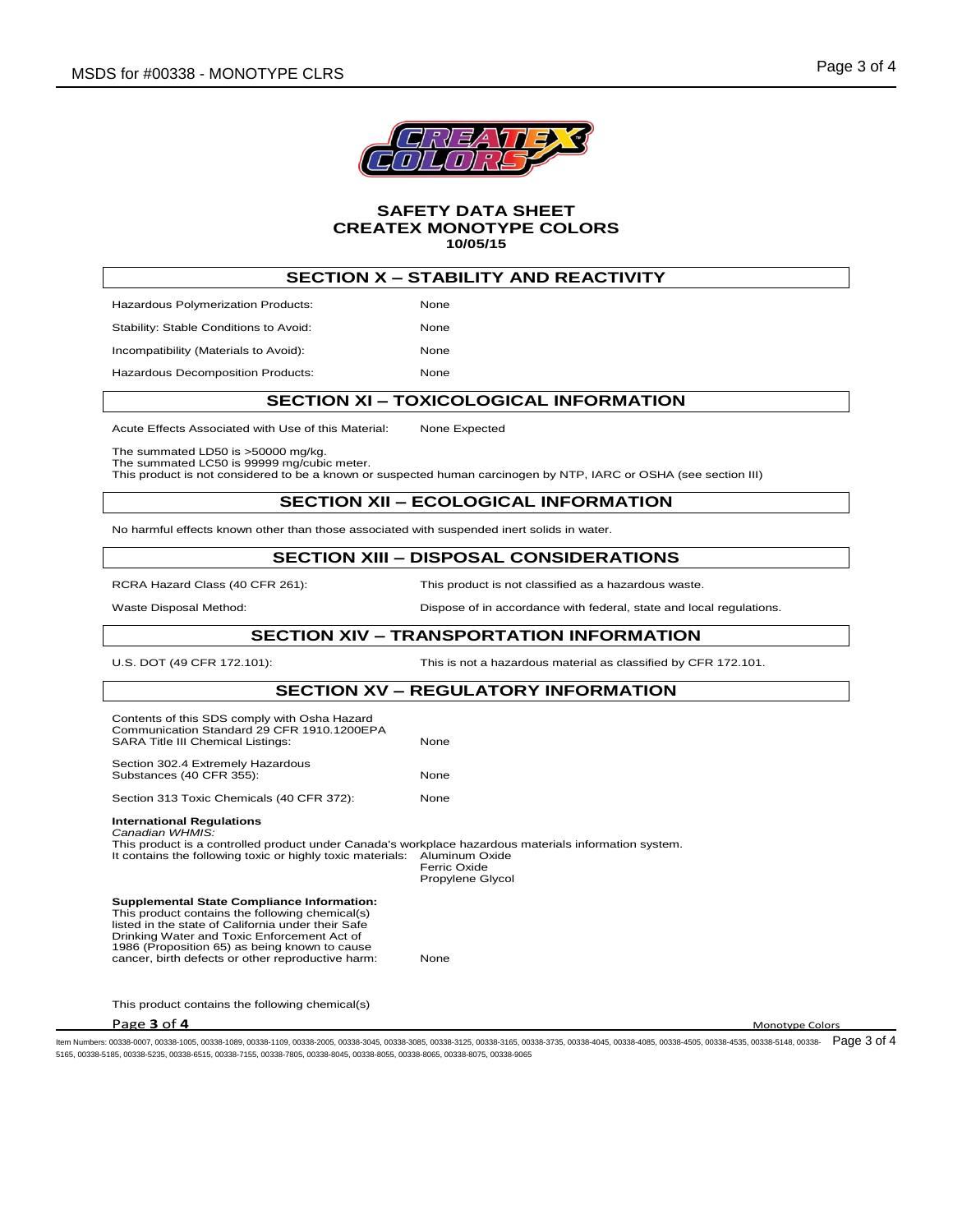

# **SECTION X – STABILITY AND REACTIVITY**

Hazardous Polymerization Products: None Stability: Stable Conditions to Avoid: None Incompatibility (Materials to Avoid): None

Hazardous Decomposition Products: None

### **SECTION XI – TOXICOLOGICAL INFORMATION**

Acute Effects Associated with Use of this Material: None Expected

The summated LD50 is >50000 mg/kg.

The summated LC50 is 99999 mg/cubic meter.

This product is not considered to be a known or suspected human carcinogen by NTP, IARC or OSHA (see section III)

# **SECTION XII – ECOLOGICAL INFORMATION**

No harmful effects known other than those associated with suspended inert solids in water.

#### **SECTION XIII – DISPOSAL CONSIDERATIONS**

RCRA Hazard Class (40 CFR 261): This product is not classified as a hazardous waste.

### Waste Disposal Method: **Dispose of in accordance with federal**, state and local regulations.

#### **SECTION XIV – TRANSPORTATION INFORMATION**

U.S. DOT (49 CFR 172.101): This is not a hazardous material as classified by CFR 172.101.

## **SECTION XV – REGULATORY INFORMATION**

| Contents of this SDS comply with Osha Hazard<br>Communication Standard 29 CFR 1910.1200EPA<br><b>SARA Title III Chemical Listings:</b>                                                                                                                                                                          | None                                               |
|-----------------------------------------------------------------------------------------------------------------------------------------------------------------------------------------------------------------------------------------------------------------------------------------------------------------|----------------------------------------------------|
| Section 302.4 Extremely Hazardous<br>Substances (40 CFR 355):                                                                                                                                                                                                                                                   | <b>None</b>                                        |
| Section 313 Toxic Chemicals (40 CFR 372):                                                                                                                                                                                                                                                                       | None                                               |
| <b>International Regulations</b><br>Canadian WHMIS:<br>This product is a controlled product under Canada's workplace hazardous materials information system.<br>It contains the following toxic or highly toxic materials:                                                                                      | Aluminum Oxide<br>Ferric Oxide<br>Propylene Glycol |
| <b>Supplemental State Compliance Information:</b><br>This product contains the following chemical(s)<br>listed in the state of California under their Safe<br>Drinking Water and Toxic Enforcement Act of<br>1986 (Proposition 65) as being known to cause<br>cancer, birth defects or other reproductive harm: | None                                               |

This product contains the following chemical(s)

**Page 3 of 4** Monotype Colors